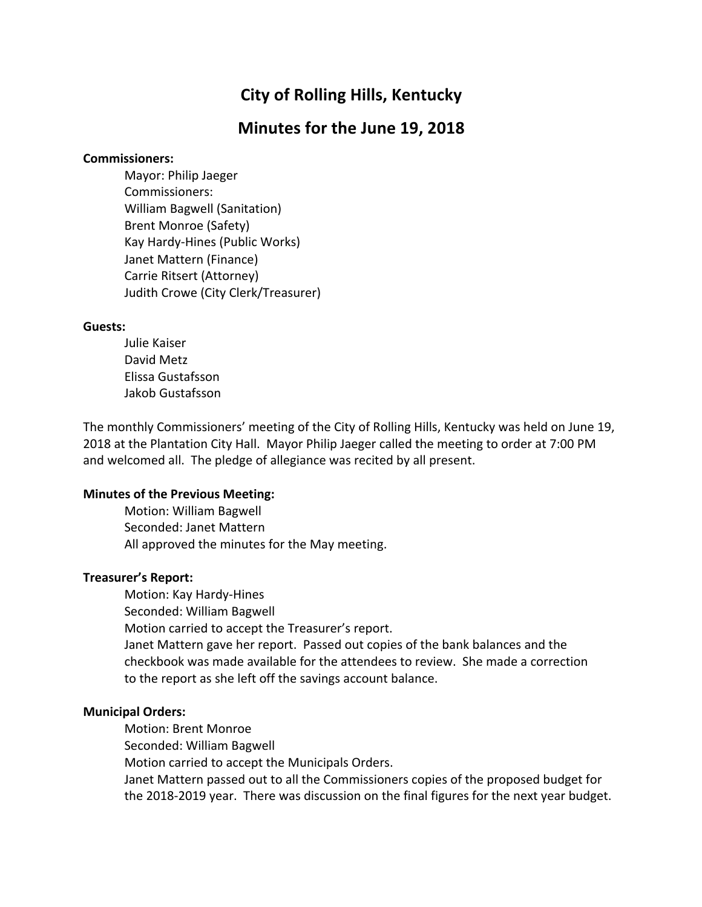# **City of Rolling Hills, Kentucky**

## **Minutes for the June 19, 2018**

#### **Commissioners:**

Mayor: Philip Jaeger Commissioners: William Bagwell (Sanitation) Brent Monroe (Safety) Kay Hardy-Hines (Public Works) Janet Mattern (Finance) Carrie Ritsert (Attorney) Judith Crowe (City Clerk/Treasurer)

#### **Guests:**

Julie Kaiser David Metz Elissa Gustafsson Jakob Gustafsson

The monthly Commissioners' meeting of the City of Rolling Hills, Kentucky was held on June 19, 2018 at the Plantation City Hall. Mayor Philip Jaeger called the meeting to order at 7:00 PM and welcomed all. The pledge of allegiance was recited by all present.

#### **Minutes of the Previous Meeting:**

Motion: William Bagwell Seconded: Janet Mattern All approved the minutes for the May meeting.

#### **Treasurer's Report:**

Motion: Kay Hardy-Hines Seconded: William Bagwell Motion carried to accept the Treasurer's report. Janet Mattern gave her report. Passed out copies of the bank balances and the checkbook was made available for the attendees to review. She made a correction to the report as she left off the savings account balance.

#### **Municipal Orders:**

Motion: Brent Monroe Seconded: William Bagwell Motion carried to accept the Municipals Orders. Janet Mattern passed out to all the Commissioners copies of the proposed budget for the 2018-2019 year. There was discussion on the final figures for the next year budget.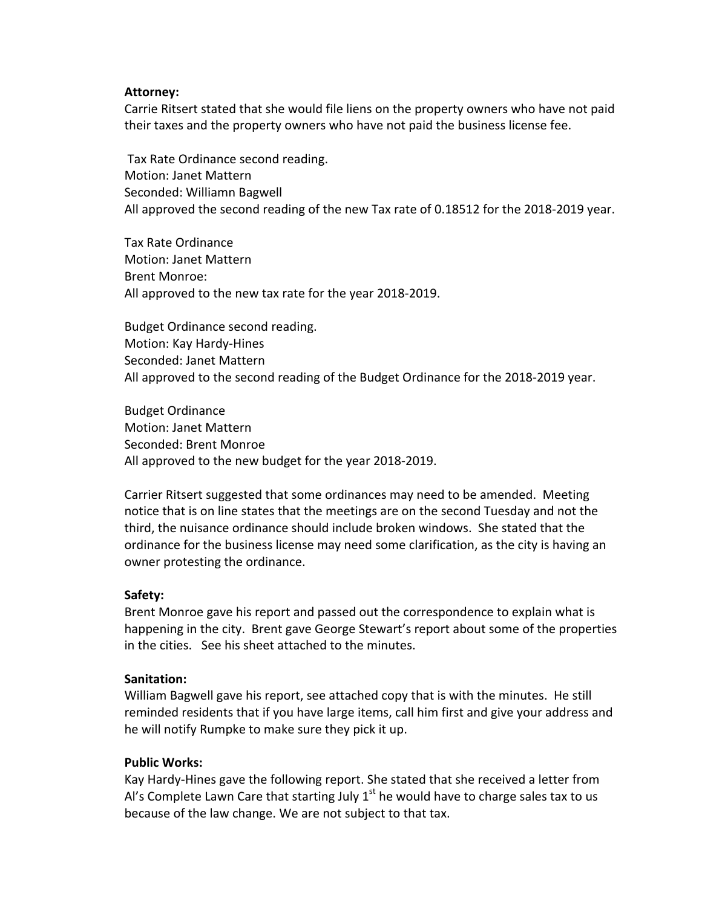#### **Attorney:**

Carrie Ritsert stated that she would file liens on the property owners who have not paid their taxes and the property owners who have not paid the business license fee.

Tax Rate Ordinance second reading. Motion: Janet Mattern Seconded: Williamn Bagwell All approved the second reading of the new Tax rate of 0.18512 for the 2018-2019 year.

Tax Rate Ordinance Motion: Janet Mattern Brent Monroe: All approved to the new tax rate for the year 2018-2019.

Budget Ordinance second reading. Motion: Kay Hardy-Hines Seconded: Janet Mattern All approved to the second reading of the Budget Ordinance for the 2018-2019 year.

Budget Ordinance Motion: Janet Mattern Seconded: Brent Monroe All approved to the new budget for the year 2018-2019.

Carrier Ritsert suggested that some ordinances may need to be amended. Meeting notice that is on line states that the meetings are on the second Tuesday and not the third, the nuisance ordinance should include broken windows. She stated that the ordinance for the business license may need some clarification, as the city is having an owner protesting the ordinance.

### **Safety:**

Brent Monroe gave his report and passed out the correspondence to explain what is happening in the city. Brent gave George Stewart's report about some of the properties in the cities. See his sheet attached to the minutes.

### **Sanitation:**

William Bagwell gave his report, see attached copy that is with the minutes. He still reminded residents that if you have large items, call him first and give your address and he will notify Rumpke to make sure they pick it up.

### **Public Works:**

Kay Hardy-Hines gave the following report. She stated that she received a letter from Al's Complete Lawn Care that starting July  $1<sup>st</sup>$  he would have to charge sales tax to us because of the law change. We are not subject to that tax.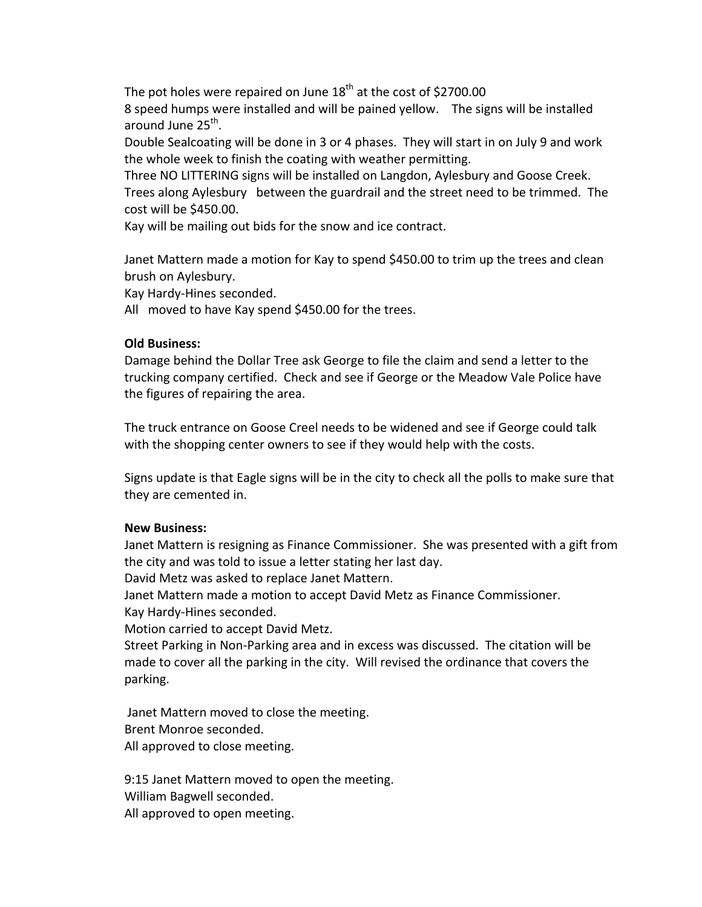The pot holes were repaired on June  $18<sup>th</sup>$  at the cost of \$2700.00

8 speed humps were installed and will be pained yellow. The signs will be installed around June  $25<sup>th</sup>$ .

Double Sealcoating will be done in 3 or 4 phases. They will start in on July 9 and work the whole week to finish the coating with weather permitting.

Three NO LITTERING signs will be installed on Langdon, Aylesbury and Goose Creek. Trees along Aylesbury between the guardrail and the street need to be trimmed. The cost will be \$450.00.

Kay will be mailing out bids for the snow and ice contract.

Janet Mattern made a motion for Kay to spend \$450.00 to trim up the trees and clean brush on Aylesbury.

Kay Hardy-Hines seconded.

All moved to have Kay spend \$450.00 for the trees.

#### **Old Business:**

Damage behind the Dollar Tree ask George to file the claim and send a letter to the trucking company certified. Check and see if George or the Meadow Vale Police have the figures of repairing the area.

The truck entrance on Goose Creel needs to be widened and see if George could talk with the shopping center owners to see if they would help with the costs.

Signs update is that Eagle signs will be in the city to check all the polls to make sure that they are cemented in.

### **New Business:**

Janet Mattern is resigning as Finance Commissioner. She was presented with a gift from the city and was told to issue a letter stating her last day.

David Metz was asked to replace Janet Mattern.

Janet Mattern made a motion to accept David Metz as Finance Commissioner.

Kay Hardy-Hines seconded.

Motion carried to accept David Metz.

Street Parking in Non-Parking area and in excess was discussed. The citation will be made to cover all the parking in the city. Will revised the ordinance that covers the parking. 

Janet Mattern moved to close the meeting. Brent Monroe seconded. All approved to close meeting.

9:15 Janet Mattern moved to open the meeting. William Bagwell seconded. All approved to open meeting.